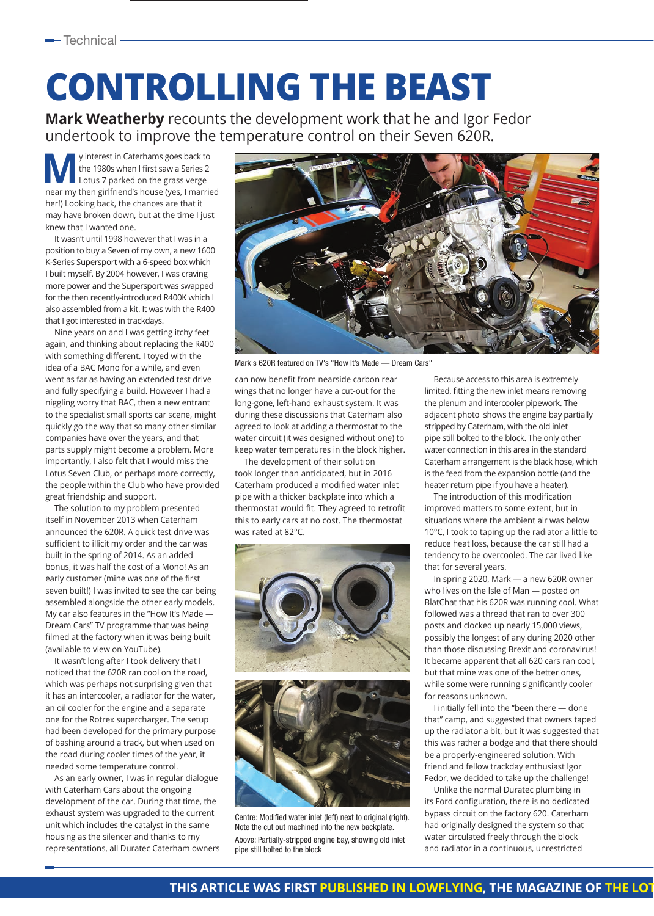## **CONTROLLING THE BEAST**

**Mark Weatherby** recounts the development work that he and Igor Fedor undertook to improve the temperature control on their Seven 620R.

**My** interest in Caterhams goes back to<br>the 1980s when I first saw a Series 2<br>Lotus 7 parked on the grass verge the 1980s when I first saw a Series 2 near my then girlfriend's house (yes, I married her!) Looking back, the chances are that it may have broken down, but at the time I just knew that I wanted one.

It wasn't until 1998 however that I was in a position to buy a Seven of my own, a new 1600 K-Series Supersport with a 6-speed box which I built myself. By 2004 however, I was craving more power and the Supersport was swapped for the then recently-introduced R400K which I also assembled from a kit. It was with the R400 that I got interested in trackdays.

Nine years on and I was getting itchy feet again, and thinking about replacing the R400 with something different. I toyed with the idea of a BAC Mono for a while, and even went as far as having an extended test drive and fully specifying a build. However I had a niggling worry that BAC, then a new entrant to the specialist small sports car scene, might quickly go the way that so many other similar companies have over the years, and that parts supply might become a problem. More importantly, I also felt that I would miss the Lotus Seven Club, or perhaps more correctly, the people within the Club who have provided great friendship and support.

The solution to my problem presented itself in November 2013 when Caterham announced the 620R. A quick test drive was sufficient to illicit my order and the car was built in the spring of 2014. As an added bonus, it was half the cost of a Mono! As an early customer (mine was one of the first seven built!) I was invited to see the car being assembled alongside the other early models. My car also features in the "How It's Made — Dream Cars" TV programme that was being filmed at the factory when it was being built (available to view on YouTube).

It wasn't long after I took delivery that I noticed that the 620R ran cool on the road, which was perhaps not surprising given that it has an intercooler, a radiator for the water, an oil cooler for the engine and a separate one for the Rotrex supercharger. The setup had been developed for the primary purpose of bashing around a track, but when used on the road during cooler times of the year, it needed some temperature control.

As an early owner, I was in regular dialogue with Caterham Cars about the ongoing development of the car. During that time, the exhaust system was upgraded to the current unit which includes the catalyst in the same housing as the silencer and thanks to my representations, all Duratec Caterham owners



Mark's 620R featured on TV's "How It's Made — Dream Cars"

can now benefit from nearside carbon rear wings that no longer have a cut-out for the long-gone, left-hand exhaust system. It was during these discussions that Caterham also agreed to look at adding a thermostat to the water circuit (it was designed without one) to keep water temperatures in the block higher.

The development of their solution took longer than anticipated, but in 2016 Caterham produced a modified water inlet pipe with a thicker backplate into which a thermostat would fit. They agreed to retrofit this to early cars at no cost. The thermostat was rated at 82°C.



Centre: Modified water inlet (left) next to original (right). Note the cut out machined into the new backplate. Above: Partially-stripped engine bay, showing old inlet pipe still bolted to the block

Because access to this area is extremely limited, fitting the new inlet means removing the plenum and intercooler pipework. The adjacent photo shows the engine bay partially stripped by Caterham, with the old inlet pipe still bolted to the block. The only other water connection in this area in the standard Caterham arrangement is the black hose, which is the feed from the expansion bottle (and the heater return pipe if you have a heater).

The introduction of this modification improved matters to some extent, but in situations where the ambient air was below 10°C, I took to taping up the radiator a little to reduce heat loss, because the car still had a tendency to be overcooled. The car lived like that for several years.

In spring 2020, Mark — a new 620R owner who lives on the Isle of Man — posted on BlatChat that his 620R was running cool. What followed was a thread that ran to over 300 posts and clocked up nearly 15,000 views, possibly the longest of any during 2020 other than those discussing Brexit and coronavirus! It became apparent that all 620 cars ran cool, but that mine was one of the better ones, while some were running significantly cooler for reasons unknown.

I initially fell into the "been there — done that" camp, and suggested that owners taped up the radiator a bit, but it was suggested that this was rather a bodge and that there should be a properly-engineered solution. With friend and fellow trackday enthusiast Igor Fedor, we decided to take up the challenge!

Unlike the normal Duratec plumbing in its Ford configuration, there is no dedicated bypass circuit on the factory 620. Caterham had originally designed the system so that water circulated freely through the block and radiator in a continuous, unrestricted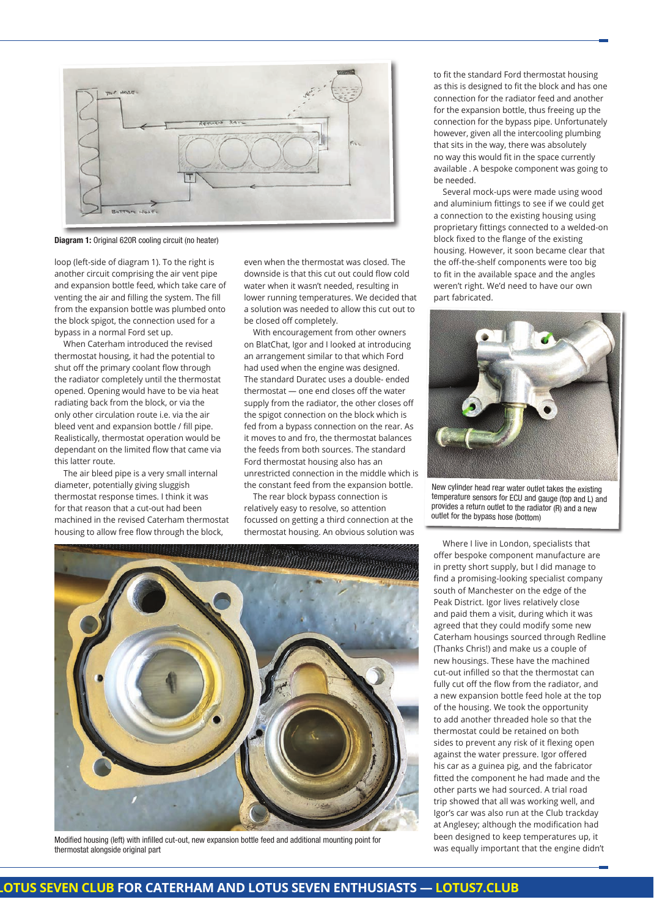

Diagram 1: Original 620R cooling circuit (no heater)

loop (left-side of diagram 1). To the right is another circuit comprising the air vent pipe and expansion bottle feed, which take care of venting the air and filling the system. The fill from the expansion bottle was plumbed onto the block spigot, the connection used for a bypass in a normal Ford set up.

When Caterham introduced the revised thermostat housing, it had the potential to shut off the primary coolant flow through the radiator completely until the thermostat opened. Opening would have to be via heat radiating back from the block, or via the only other circulation route i.e. via the air bleed vent and expansion bottle / fill pipe. Realistically, thermostat operation would be dependant on the limited flow that came via this latter route.

The air bleed pipe is a very small internal diameter, potentially giving sluggish thermostat response times. I think it was for that reason that a cut-out had been machined in the revised Caterham thermostat housing to allow free flow through the block,

even when the thermostat was closed. The downside is that this cut out could flow cold water when it wasn't needed, resulting in lower running temperatures. We decided that a solution was needed to allow this cut out to be closed off completely.

With encouragement from other owners on BlatChat, Igor and I looked at introducing an arrangement similar to that which Ford had used when the engine was designed. The standard Duratec uses a double- ended thermostat — one end closes off the water supply from the radiator, the other closes off the spigot connection on the block which is fed from a bypass connection on the rear. As it moves to and fro, the thermostat balances the feeds from both sources. The standard Ford thermostat housing also has an unrestricted connection in the middle which is the constant feed from the expansion bottle.

The rear block bypass connection is relatively easy to resolve, so attention focussed on getting a third connection at the thermostat housing. An obvious solution was



Modified housing (left) with infilled cut-out, new expansion bottle feed and additional mounting point for thermostat alongside original part

to fit the standard Ford thermostat housing as this is designed to fit the block and has one connection for the radiator feed and another for the expansion bottle, thus freeing up the connection for the bypass pipe. Unfortunately however, given all the intercooling plumbing that sits in the way, there was absolutely no way this would fit in the space currently available . A bespoke component was going to be needed.

Several mock-ups were made using wood and aluminium fittings to see if we could get a connection to the existing housing using proprietary fittings connected to a welded-on block fixed to the flange of the existing housing. However, it soon became clear that the off-the-shelf components were too big to fit in the available space and the angles weren't right. We'd need to have our own part fabricated.



New cylinder head rear water outlet takes the existing temperature sensors for ECU and gauge (top and L) and provides a return outlet to the radiator (R) and a new outlet for the bypass hose (bottom)

Where I live in London, specialists that offer bespoke component manufacture are in pretty short supply, but I did manage to find a promising-looking specialist company south of Manchester on the edge of the Peak District. Igor lives relatively close and paid them a visit, during which it was agreed that they could modify some new Caterham housings sourced through Redline (Thanks Chris!) and make us a couple of new housings. These have the machined cut-out infilled so that the thermostat can fully cut off the flow from the radiator, and a new expansion bottle feed hole at the top of the housing. We took the opportunity to add another threaded hole so that the thermostat could be retained on both sides to prevent any risk of it flexing open against the water pressure. Igor offered his car as a guinea pig, and the fabricator fitted the component he had made and the other parts we had sourced. A trial road trip showed that all was working well, and Igor's car was also run at the Club trackday at Anglesey; although the modification had been designed to keep temperatures up, it was equally important that the engine didn't

## **THIS ARTICLE WAS EXTED IN ARTICLE WAS CONFIDENTED ARTICLES ARTICLES ARTICLES ARTICLES SEVEN CLUB**